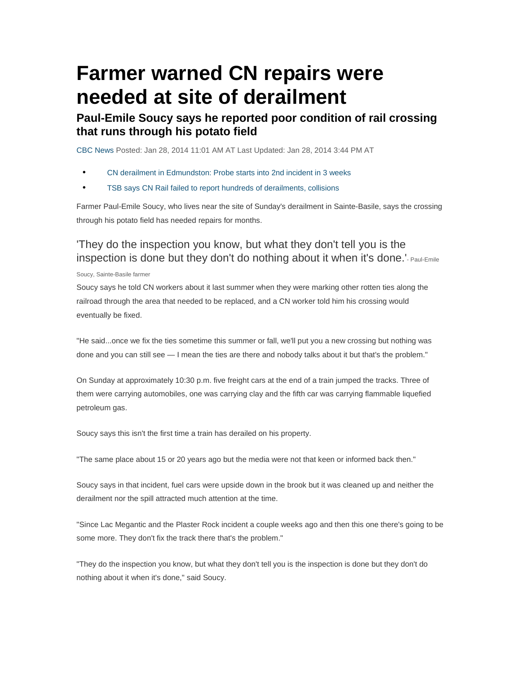# **Farmer warned CN repairs were needed at site of derailment**

### **Paul-Emile Soucy says he reported poor condition of rail crossing that runs through his potato field**

CBC News Posted: Jan 28, 2014 11:01 AM AT Last Updated: Jan 28, 2014 3:44 PM AT

- CN derailment in Edmundston: Probe starts into 2nd incident in 3 weeks
- TSB says CN Rail failed to report hundreds of derailments, collisions

Farmer Paul-Emile Soucy, who lives near the site of Sunday's derailment in Sainte-Basile, says the crossing through his potato field has needed repairs for months.

#### 'They do the inspection you know, but what they don't tell you is the inspection is done but they don't do nothing about it when it's done.<sup>'</sup>- Paul-Emile

#### Soucy, Sainte-Basile farmer

Soucy says he told CN workers about it last summer when they were marking other rotten ties along the railroad through the area that needed to be replaced, and a CN worker told him his crossing would eventually be fixed.

"He said...once we fix the ties sometime this summer or fall, we'll put you a new crossing but nothing was done and you can still see — I mean the ties are there and nobody talks about it but that's the problem."

On Sunday at approximately 10:30 p.m. five freight cars at the end of a train jumped the tracks. Three of them were carrying automobiles, one was carrying clay and the fifth car was carrying flammable liquefied petroleum gas.

Soucy says this isn't the first time a train has derailed on his property.

"The same place about 15 or 20 years ago but the media were not that keen or informed back then."

Soucy says in that incident, fuel cars were upside down in the brook but it was cleaned up and neither the derailment nor the spill attracted much attention at the time.

"Since Lac Megantic and the Plaster Rock incident a couple weeks ago and then this one there's going to be some more. They don't fix the track there that's the problem."

"They do the inspection you know, but what they don't tell you is the inspection is done but they don't do nothing about it when it's done," said Soucy.